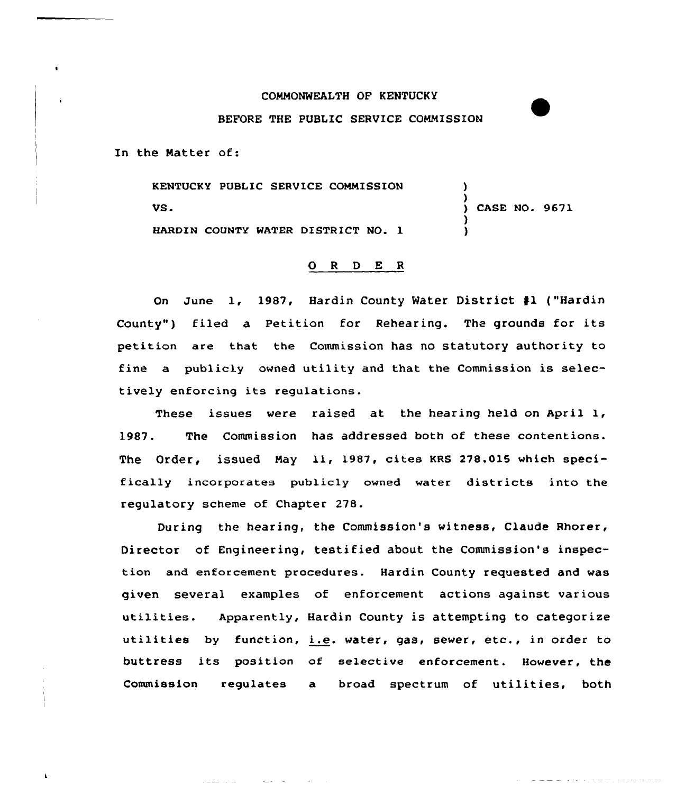## COMMONWEALTH OF KENTUCKY

## BEFORE THE PUBLIC SERVICE COMMISSION

In the Natter of:

KENTUCKY PUBLIC SERVICE COMMISSION VS. HARDIN COUNTY MATER DISTRICT NO. 1 ) ) ) CASE NO. 9671 )

)

وتعاونه المتواصلين والمرادين والمرادين المتراسي

## 0 <sup>R</sup> <sup>D</sup> E <sup>R</sup>

On June 1, 1987, Hardin County Mater District fl ("Hardin County") filed a Petition for Rehearing. The grounds for its petition are that the Commission has no statutory authority to fine a publicly owned utility and that the Commission is selectively enforcing its regulations.

These issues vere raised at the hearing held on April 1, 1987. The Commission has addressed both of these contentions. The Order, issued May ll, 1987, cites KRS 278.015 which specifically incorporates publicly owned water districts into the regulatory scheme of Chapter 278.

During the hearing, the Commission's witness, Claude Rhorer, Director of Engineering, testified about the Commission's inspection and enforcement procedures. Hardin County requested and was given several examples of enforcement actions against various utilities. Apparently, Hardin County is attempting to categorize utilities by function, i.e. water, gas, sever, etc., in order to buttress its position af selective enforcement. However, the Commission regulates a broad spectrum of utilities, both